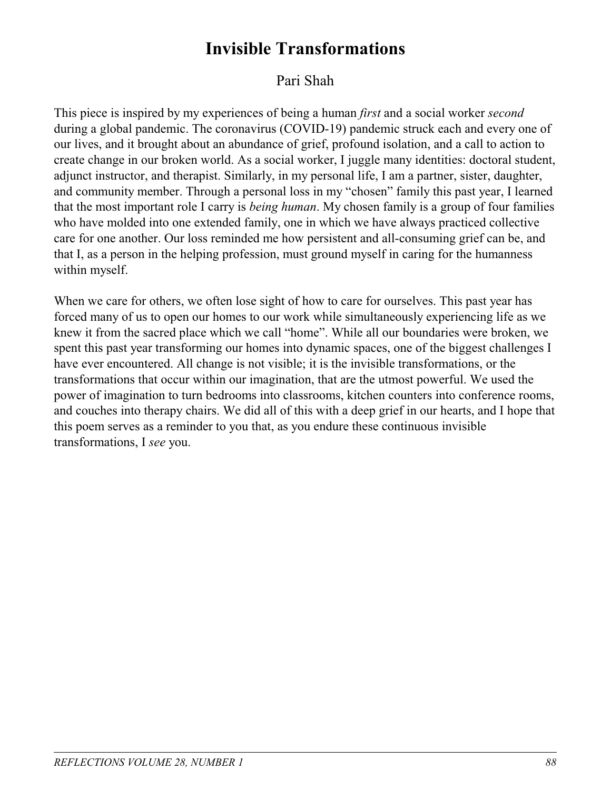## **Invisible Transformations**

## Pari Shah

This piece is inspired by my experiences of being a human *first* and a social worker *second* during a global pandemic. The coronavirus (COVID-19) pandemic struck each and every one of our lives, and it brought about an abundance of grief, profound isolation, and a call to action to create change in our broken world. As a social worker, I juggle many identities: doctoral student, adjunct instructor, and therapist. Similarly, in my personal life, I am a partner, sister, daughter, and community member. Through a personal loss in my "chosen" family this past year, I learned that the most important role I carry is *being human*. My chosen family is a group of four families who have molded into one extended family, one in which we have always practiced collective care for one another. Our loss reminded me how persistent and all-consuming grief can be, and that I, as a person in the helping profession, must ground myself in caring for the humanness within myself.

When we care for others, we often lose sight of how to care for ourselves. This past year has forced many of us to open our homes to our work while simultaneously experiencing life as we knew it from the sacred place which we call "home". While all our boundaries were broken, we spent this past year transforming our homes into dynamic spaces, one of the biggest challenges I have ever encountered. All change is not visible; it is the invisible transformations, or the transformations that occur within our imagination, that are the utmost powerful. We used the power of imagination to turn bedrooms into classrooms, kitchen counters into conference rooms, and couches into therapy chairs. We did all of this with a deep grief in our hearts, and I hope that this poem serves as a reminder to you that, as you endure these continuous invisible transformations, I *see* you.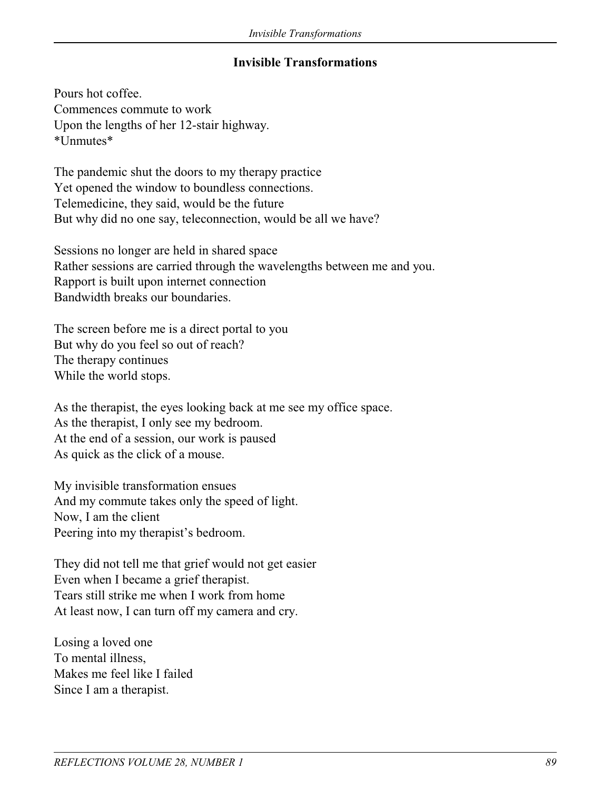## **Invisible Transformations**

Pours hot coffee. Commences commute to work Upon the lengths of her 12-stair highway. \*Unmutes\*

The pandemic shut the doors to my therapy practice Yet opened the window to boundless connections. Telemedicine, they said, would be the future But why did no one say, teleconnection, would be all we have?

Sessions no longer are held in shared space Rather sessions are carried through the wavelengths between me and you. Rapport is built upon internet connection Bandwidth breaks our boundaries.

The screen before me is a direct portal to you But why do you feel so out of reach? The therapy continues While the world stops.

As the therapist, the eyes looking back at me see my office space. As the therapist, I only see my bedroom. At the end of a session, our work is paused As quick as the click of a mouse.

My invisible transformation ensues And my commute takes only the speed of light. Now, I am the client Peering into my therapist's bedroom.

They did not tell me that grief would not get easier Even when I became a grief therapist. Tears still strike me when I work from home At least now, I can turn off my camera and cry.

Losing a loved one To mental illness, Makes me feel like I failed Since I am a therapist.